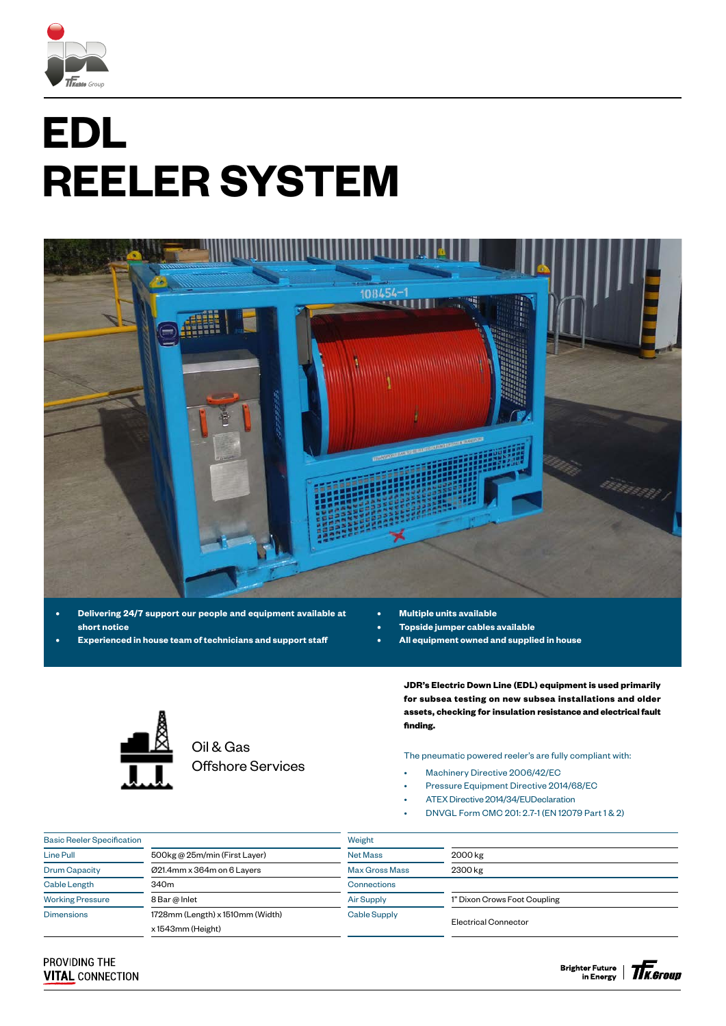

# **EDL REELER SYSTEM**



- **• Delivering 24/7 support our people and equipment available at short notice**
- **• Experienced in house team of technicians and support staff**
- **• Multiple units available**
- **• Topside jumper cables available**
- **• All equipment owned and supplied in house**



Oil & Gas Offshore Services

**JDR's Electric Down Line (EDL) equipment is used primarily for subsea testing on new subsea installations and older assets, checking for insulation resistance and electrical fault finding.**

The pneumatic powered reeler's are fully compliant with:

- Machinery Directive 2006/42/EC
- Pressure Equipment Directive 2014/68/EC
- ATEX Directive 2014/34/EUDeclaration
- DNVGL Form CMC 201: 2.7-1 (EN 12079 Part 1 & 2)

| <b>Basic Reeler Specification</b> |                                  | Weight                |                              |  |  |
|-----------------------------------|----------------------------------|-----------------------|------------------------------|--|--|
| Line Pull                         | 500kg @ 25m/min (First Layer)    | <b>Net Mass</b>       | 2000 kg                      |  |  |
| <b>Drum Capacity</b>              | Ø21.4mm x 364m on 6 Layers       | <b>Max Gross Mass</b> | 2300 kg                      |  |  |
| <b>Cable Length</b>               | 340 <sub>m</sub>                 | Connections           |                              |  |  |
| <b>Working Pressure</b>           | 8 Bar @ Inlet                    | <b>Air Supply</b>     | 1" Dixon Crows Foot Coupling |  |  |
| <b>Dimensions</b>                 | 1728mm (Length) x 1510mm (Width) | Cable Supply          |                              |  |  |
|                                   | x 1543mm (Height)                |                       | Electrical Connector         |  |  |

### PROVIDING THE **VITAL CONNECTION**